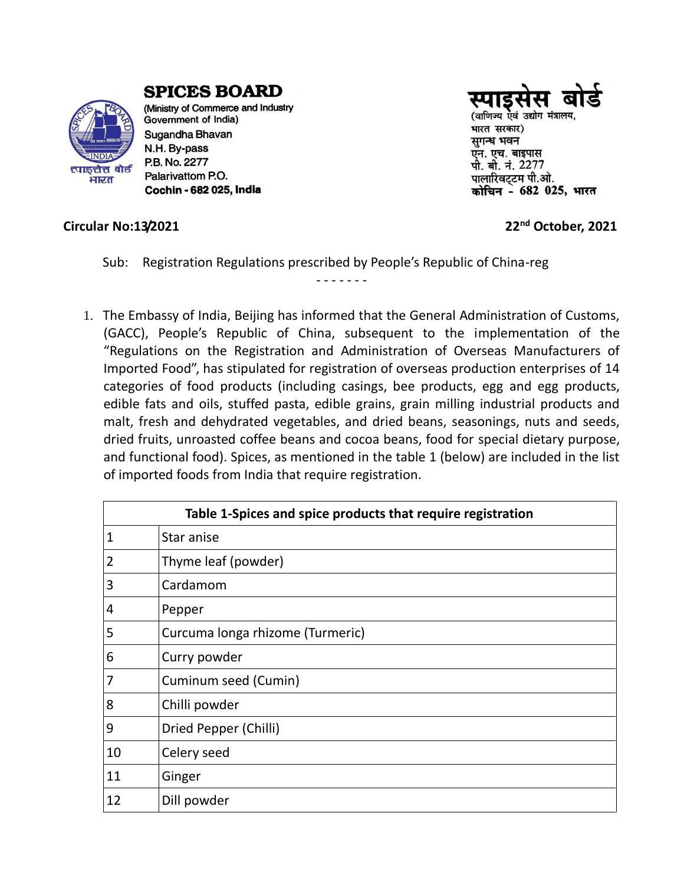

**SPICES BOARD** 

(Ministry of Commerce and Industry Government of India) Sugandha Bhavan N.H. By-pass P.B. No. 2277 Palarivattom P.O. Cochin - 682 025, India



(वाणिज्य एवं उद्योग मंत्रालय. भारत सरकार) सुगन्ध भवन एन. एच. बाइपास पी. बी. नं. 2277 पालारिवट्टम पी.ओ. कोचिन - 682 025, भारत

## **Circular No:13/2021 22nd October, 2021**

Sub: Registration Regulations prescribed by People's Republic of China-reg

- - - - - - -

1. The Embassy of India, Beijing has informed that the General Administration of Customs, (GACC), People's Republic of China, subsequent to the implementation of the "Regulations on the Registration and Administration of Overseas Manufacturers of Imported Food", has stipulated for registration of overseas production enterprises of 14 categories of food products (including casings, bee products, egg and egg products, edible fats and oils, stuffed pasta, edible grains, grain milling industrial products and malt, fresh and dehydrated vegetables, and dried beans, seasonings, nuts and seeds, dried fruits, unroasted coffee beans and cocoa beans, food for special dietary purpose, and functional food). Spices, as mentioned in the table 1 (below) are included in the list of imported foods from India that require registration.

| Table 1-Spices and spice products that require registration |                                  |
|-------------------------------------------------------------|----------------------------------|
| 1                                                           | Star anise                       |
| 2                                                           | Thyme leaf (powder)              |
| 3                                                           | Cardamom                         |
| 4                                                           | Pepper                           |
| 5                                                           | Curcuma longa rhizome (Turmeric) |
| 6                                                           | Curry powder                     |
| 7                                                           | Cuminum seed (Cumin)             |
| 8                                                           | Chilli powder                    |
| 9                                                           | Dried Pepper (Chilli)            |
| 10                                                          | Celery seed                      |
| 11                                                          | Ginger                           |
| 12                                                          | Dill powder                      |